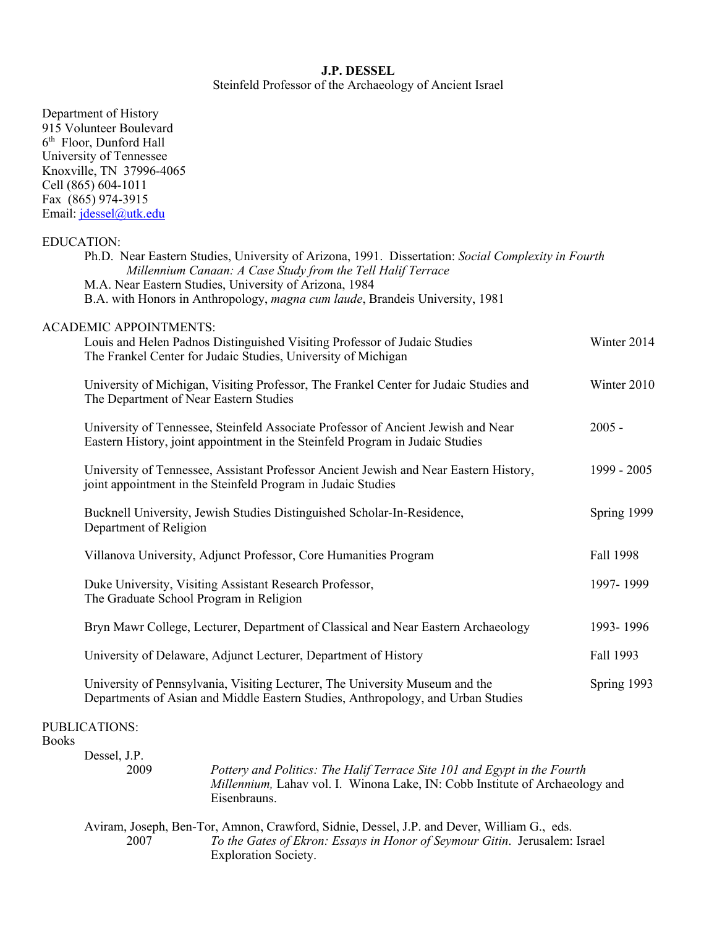## **J.P. DESSEL**

Steinfeld Professor of the Archaeology of Ancient Israel

| Department of History                                                                                                                                              |             |
|--------------------------------------------------------------------------------------------------------------------------------------------------------------------|-------------|
| 915 Volunteer Boulevard<br>6 <sup>th</sup> Floor, Dunford Hall                                                                                                     |             |
| University of Tennessee                                                                                                                                            |             |
| Knoxville, TN 37996-4065                                                                                                                                           |             |
| Cell (865) 604-1011                                                                                                                                                |             |
| Fax (865) 974-3915                                                                                                                                                 |             |
| Email: jdessel@utk.edu                                                                                                                                             |             |
|                                                                                                                                                                    |             |
| <b>EDUCATION:</b>                                                                                                                                                  |             |
| Ph.D. Near Eastern Studies, University of Arizona, 1991. Dissertation: Social Complexity in Fourth<br>Millennium Canaan: A Case Study from the Tell Halif Terrace  |             |
| M.A. Near Eastern Studies, University of Arizona, 1984                                                                                                             |             |
| B.A. with Honors in Anthropology, magna cum laude, Brandeis University, 1981                                                                                       |             |
| <b>ACADEMIC APPOINTMENTS:</b>                                                                                                                                      |             |
| Louis and Helen Padnos Distinguished Visiting Professor of Judaic Studies<br>The Frankel Center for Judaic Studies, University of Michigan                         | Winter 2014 |
| University of Michigan, Visiting Professor, The Frankel Center for Judaic Studies and<br>The Department of Near Eastern Studies                                    | Winter 2010 |
| University of Tennessee, Steinfeld Associate Professor of Ancient Jewish and Near<br>Eastern History, joint appointment in the Steinfeld Program in Judaic Studies | $2005 -$    |
| University of Tennessee, Assistant Professor Ancient Jewish and Near Eastern History,<br>joint appointment in the Steinfeld Program in Judaic Studies              | 1999 - 2005 |
| Bucknell University, Jewish Studies Distinguished Scholar-In-Residence,<br>Department of Religion                                                                  | Spring 1999 |
| Villanova University, Adjunct Professor, Core Humanities Program                                                                                                   | Fall 1998   |
| Duke University, Visiting Assistant Research Professor,<br>The Graduate School Program in Religion                                                                 | 1997-1999   |
| Bryn Mawr College, Lecturer, Department of Classical and Near Eastern Archaeology                                                                                  | 1993-1996   |
| University of Delaware, Adjunct Lecturer, Department of History                                                                                                    | Fall 1993   |
| University of Pennsylvania, Visiting Lecturer, The University Museum and the<br>Departments of Asian and Middle Eastern Studies, Anthropology, and Urban Studies   | Spring 1993 |
| PUBLICATIONS:<br><b>Books</b>                                                                                                                                      |             |

Dessel, J.P. 2009 *Pottery and Politics: The Halif Terrace Site 101 and Egypt in the Fourth Millennium,* Lahav vol. I. Winona Lake, IN: Cobb Institute of Archaeology and Eisenbrauns. Aviram, Joseph, Ben-Tor, Amnon, Crawford, Sidnie, Dessel, J.P. and Dever, William G., eds. 2007 *To the Gates of Ekron: Essays in Honor of Seymour Gitin*. Jerusalem: Israel Exploration Society.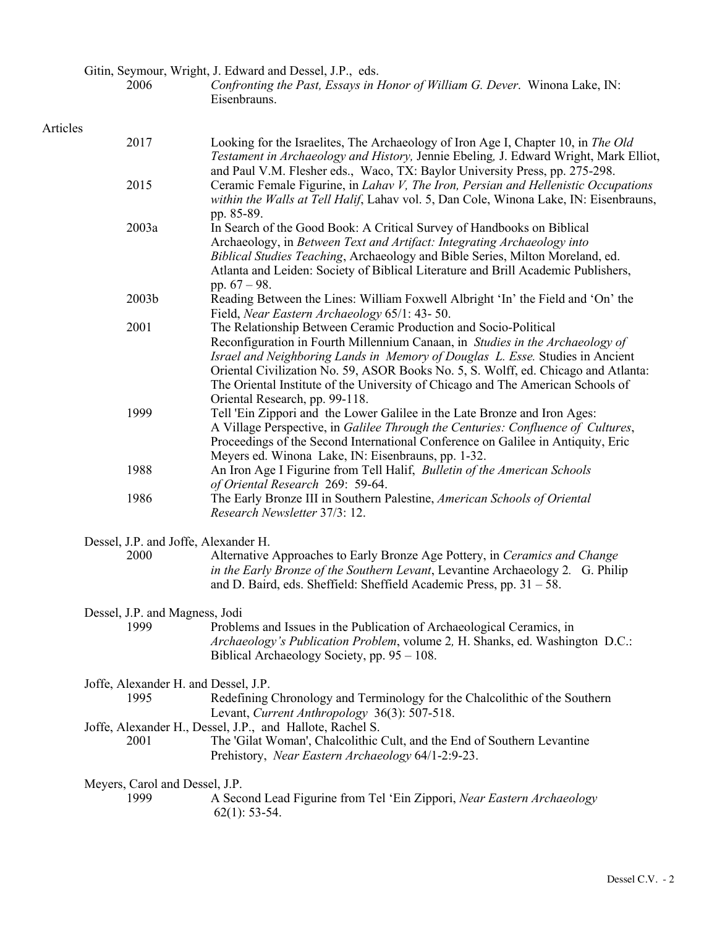Gitin, Seymour, Wright, J. Edward and Dessel, J.P., eds.<br>2006 Confronting the Past, Essays in F

2006 *Confronting the Past, Essays in Honor of William G. Dever*. Winona Lake, IN: Eisenbrauns.

## Articles

| личись |                                              |                                                                                                                                                                                                                                                                                                                                                                                                                                              |
|--------|----------------------------------------------|----------------------------------------------------------------------------------------------------------------------------------------------------------------------------------------------------------------------------------------------------------------------------------------------------------------------------------------------------------------------------------------------------------------------------------------------|
|        | 2017                                         | Looking for the Israelites, The Archaeology of Iron Age I, Chapter 10, in The Old<br>Testament in Archaeology and History, Jennie Ebeling, J. Edward Wright, Mark Elliot,<br>and Paul V.M. Flesher eds., Waco, TX: Baylor University Press, pp. 275-298.                                                                                                                                                                                     |
|        | 2015                                         | Ceramic Female Figurine, in Lahav V, The Iron, Persian and Hellenistic Occupations<br>within the Walls at Tell Halif, Lahav vol. 5, Dan Cole, Winona Lake, IN: Eisenbrauns,<br>pp. 85-89.                                                                                                                                                                                                                                                    |
|        | 2003a                                        | In Search of the Good Book: A Critical Survey of Handbooks on Biblical<br>Archaeology, in Between Text and Artifact: Integrating Archaeology into<br>Biblical Studies Teaching, Archaeology and Bible Series, Milton Moreland, ed.<br>Atlanta and Leiden: Society of Biblical Literature and Brill Academic Publishers,<br>pp. $67 - 98$ .                                                                                                   |
|        | 2003b                                        | Reading Between the Lines: William Foxwell Albright 'In' the Field and 'On' the<br>Field, Near Eastern Archaeology 65/1: 43-50.                                                                                                                                                                                                                                                                                                              |
|        | 2001                                         | The Relationship Between Ceramic Production and Socio-Political<br>Reconfiguration in Fourth Millennium Canaan, in Studies in the Archaeology of<br>Israel and Neighboring Lands in Memory of Douglas L. Esse. Studies in Ancient<br>Oriental Civilization No. 59, ASOR Books No. 5, S. Wolff, ed. Chicago and Atlanta:<br>The Oriental Institute of the University of Chicago and The American Schools of<br>Oriental Research, pp. 99-118. |
|        | 1999                                         | Tell 'Ein Zippori and the Lower Galilee in the Late Bronze and Iron Ages:<br>A Village Perspective, in Galilee Through the Centuries: Confluence of Cultures,<br>Proceedings of the Second International Conference on Galilee in Antiquity, Eric<br>Meyers ed. Winona Lake, IN: Eisenbrauns, pp. 1-32.                                                                                                                                      |
|        | 1988                                         | An Iron Age I Figurine from Tell Halif, <i>Bulletin of the American Schools</i><br>of Oriental Research 269: 59-64.                                                                                                                                                                                                                                                                                                                          |
|        | 1986                                         | The Early Bronze III in Southern Palestine, American Schools of Oriental<br>Research Newsletter 37/3: 12.                                                                                                                                                                                                                                                                                                                                    |
|        | Dessel, J.P. and Joffe, Alexander H.         |                                                                                                                                                                                                                                                                                                                                                                                                                                              |
|        | 2000                                         | Alternative Approaches to Early Bronze Age Pottery, in Ceramics and Change<br>in the Early Bronze of the Southern Levant, Levantine Archaeology 2. G. Philip<br>and D. Baird, eds. Sheffield: Sheffield Academic Press, pp. 31 - 58.                                                                                                                                                                                                         |
|        | Dessel, J.P. and Magness, Jodi<br>1999       | Problems and Issues in the Publication of Archaeological Ceramics, in<br>Archaeology's Publication Problem, volume 2, H. Shanks, ed. Washington D.C.:<br>Biblical Archaeology Society, pp. 95 – 108.                                                                                                                                                                                                                                         |
|        | Joffe, Alexander H. and Dessel, J.P.<br>1995 | Redefining Chronology and Terminology for the Chalcolithic of the Southern                                                                                                                                                                                                                                                                                                                                                                   |
|        | 2001                                         | Levant, Current Anthropology 36(3): 507-518.<br>Joffe, Alexander H., Dessel, J.P., and Hallote, Rachel S.<br>The 'Gilat Woman', Chalcolithic Cult, and the End of Southern Levantine<br>Prehistory, Near Eastern Archaeology 64/1-2:9-23.                                                                                                                                                                                                    |
|        | Meyers, Carol and Dessel, J.P.<br>1999       | A Second Lead Figurine from Tel 'Ein Zippori, Near Eastern Archaeology<br>$62(1): 53-54.$                                                                                                                                                                                                                                                                                                                                                    |
|        |                                              |                                                                                                                                                                                                                                                                                                                                                                                                                                              |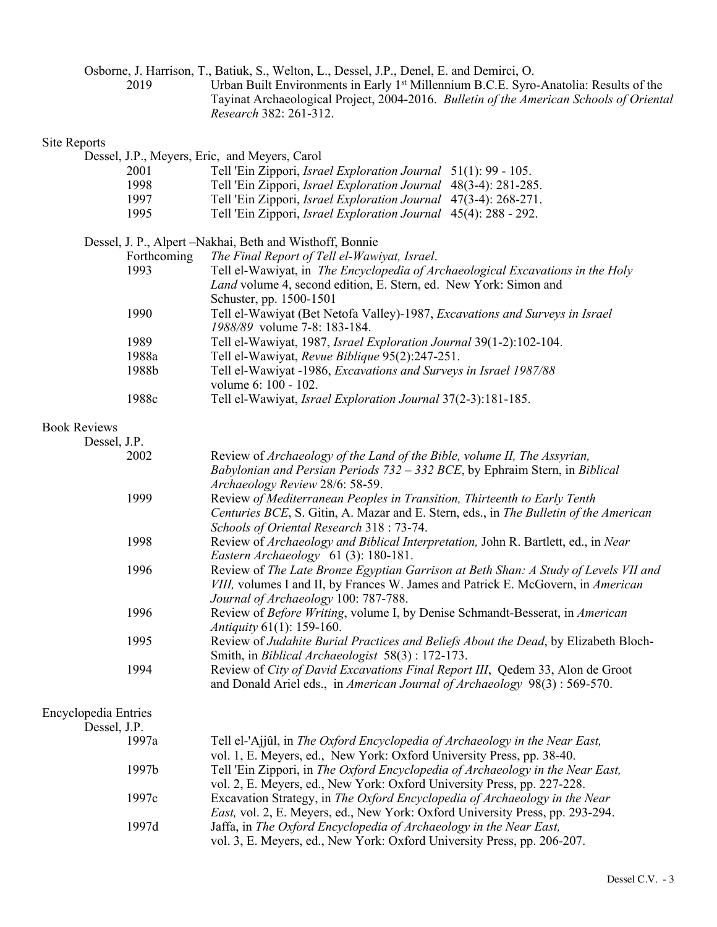Osborne, J. Harrison, T., Batiuk, S., Welton, L., Dessel, J.P., Denel, E. and Demirci, O.

2019 Urban Built Environments in Early 1<sup>st</sup> Millennium B.C.E. Syro-Anatolia: Results of the Tayinat Archaeological Project, 2004-2016. *Bulletin of the American Schools of Oriental Research* 382: 261-312.

### Site Reports

Dessel, J.P., Meyers, Eric, and Meyers, Carol 2001 Tell 'Ein Zippori, *Israel Exploration Journal* 51(1): 99 - 105. 1998 Tell 'Ein Zippori, *Israel Exploration Journal* 48(3-4): 281-285. 1997 Tell 'Ein Zippori, *Israel Exploration Journal* 47(3-4): 268-271. 1995 Tell 'Ein Zippori, *Israel Exploration Journal* 45(4): 288 - 292. Dessel, J. P., Alpert –Nakhai, Beth and Wisthoff, Bonnie Forthcoming *The Final Report of Tell el-Wawiyat, Israel*. 1993 Tell el-Wawiyat, in *The Encyclopedia of Archaeological Excavations in the Holy Land* volume 4, second edition, E. Stern, ed. New York: Simon and Schuster, pp. 1500-1501 1990 Tell el-Wawiyat (Bet Netofa Valley)-1987, *Excavations and Surveys in Israel 1988/89* volume 7-8: 183-184. 1989 Tell el-Wawiyat, 1987, *Israel Exploration Journal* 39(1-2):102-104. 1988a Tell el-Wawiyat, *Revue Biblique* 95(2):247-251. 1988b Tell el-Wawiyat -1986, *Excavations and Surveys in Israel 1987/88* volume 6: 100 - 102. 1988c Tell el-Wawiyat, *Israel Exploration Journal* 37(2-3):181-185. Book Reviews Dessel, J.P. 2002 Review of *Archaeology of the Land of the Bible, volume II, The Assyrian, Babylonian and Persian Periods 732 – 332 BCE*, by Ephraim Stern, in *Biblical Archaeology Review* 28/6: 58-59. 1999 Review *of Mediterranean Peoples in Transition, Thirteenth to Early Tenth Centuries BCE*, S. Gitin, A. Mazar and E. Stern, eds., in *The Bulletin of the American Schools of Oriental Research* 318 : 73-74. 1998 Review of *Archaeology and Biblical Interpretation,* John R. Bartlett, ed., in *Near Eastern Archaeology* 61 (3): 180-181. 1996 Review of *The Late Bronze Egyptian Garrison at Beth Shan: A Study of Levels VII and VIII,* volumes I and II, by Frances W. James and Patrick E. McGovern, in *American Journal of Archaeology* 100: 787-788. 1996 Review of *Before Writing*, volume I, by Denise Schmandt-Besserat, in *American Antiquity* 61(1): 159-160.

> 1995 Review of *Judahite Burial Practices and Beliefs About the Dead*, by Elizabeth Bloch-Smith, in *Biblical Archaeologist* 58(3) : 172-173.

1994 Review of *City of David Excavations Final Report III*, Qedem 33, Alon de Groot and Donald Ariel eds., in *American Journal of Archaeology* 98(3) : 569-570.

#### Encyclopedia Entries Dessel, J.P.

| Dessei, j.f.      |                                                                                      |
|-------------------|--------------------------------------------------------------------------------------|
| 1997a             | Tell el-'Ajjûl, in The Oxford Encyclopedia of Archaeology in the Near East,          |
|                   | vol. 1, E. Meyers, ed., New York: Oxford University Press, pp. 38-40.                |
| 1997 <sub>b</sub> | Tell 'Ein Zippori, in The Oxford Encyclopedia of Archaeology in the Near East,       |
|                   | vol. 2, E. Meyers, ed., New York: Oxford University Press, pp. 227-228.              |
| 1997 <sub>c</sub> | Excavation Strategy, in The Oxford Encyclopedia of Archaeology in the Near           |
|                   | <i>East, vol. 2, E. Meyers, ed., New York: Oxford University Press, pp. 293-294.</i> |
| 1997d             | Jaffa, in The Oxford Encyclopedia of Archaeology in the Near East,                   |
|                   | vol. 3, E. Meyers, ed., New York: Oxford University Press, pp. 206-207.              |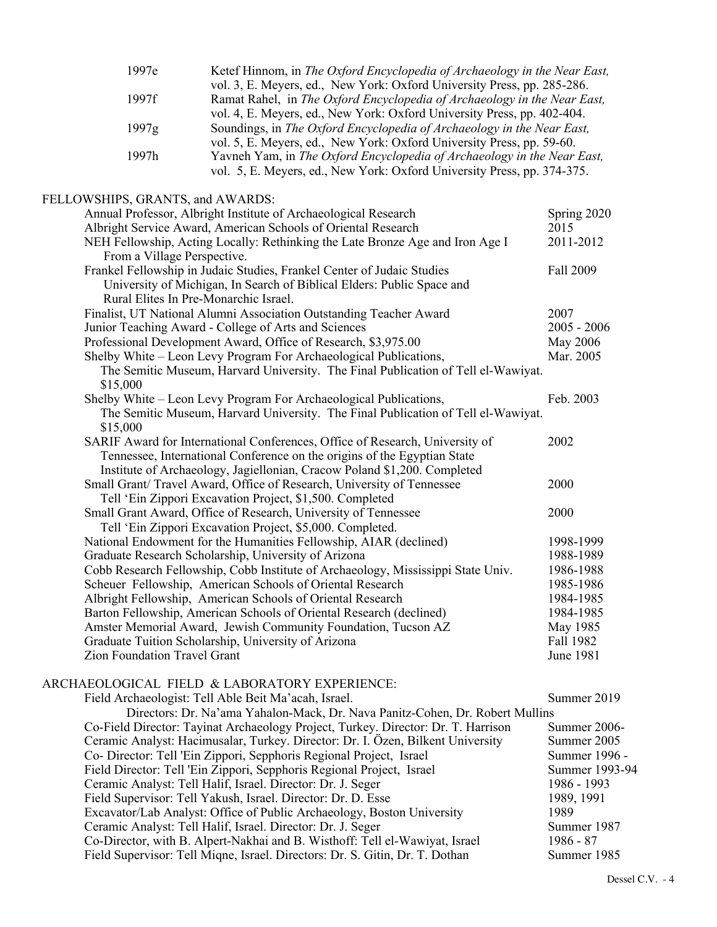| 1997e                                 | Ketef Hinnom, in The Oxford Encyclopedia of Archaeology in the Near East,                                                                       |                 |
|---------------------------------------|-------------------------------------------------------------------------------------------------------------------------------------------------|-----------------|
|                                       | vol. 3, E. Meyers, ed., New York: Oxford University Press, pp. 285-286.                                                                         |                 |
| 1997f                                 | Ramat Rahel, in The Oxford Encyclopedia of Archaeology in the Near East,                                                                        |                 |
|                                       | vol. 4, E. Meyers, ed., New York: Oxford University Press, pp. 402-404.                                                                         |                 |
| 1997g                                 | Soundings, in The Oxford Encyclopedia of Archaeology in the Near East,<br>vol. 5, E. Meyers, ed., New York: Oxford University Press, pp. 59-60. |                 |
| 1997h                                 | Yavneh Yam, in The Oxford Encyclopedia of Archaeology in the Near East,                                                                         |                 |
|                                       | vol. 5, E. Meyers, ed., New York: Oxford University Press, pp. 374-375.                                                                         |                 |
|                                       |                                                                                                                                                 |                 |
| FELLOWSHIPS, GRANTS, and AWARDS:      |                                                                                                                                                 |                 |
|                                       | Annual Professor, Albright Institute of Archaeological Research                                                                                 | Spring 2020     |
|                                       | Albright Service Award, American Schools of Oriental Research                                                                                   | 2015            |
|                                       | NEH Fellowship, Acting Locally: Rethinking the Late Bronze Age and Iron Age I                                                                   | 2011-2012       |
| From a Village Perspective.           |                                                                                                                                                 |                 |
|                                       | Frankel Fellowship in Judaic Studies, Frankel Center of Judaic Studies                                                                          | Fall 2009       |
|                                       | University of Michigan, In Search of Biblical Elders: Public Space and                                                                          |                 |
| Rural Elites In Pre-Monarchic Israel. |                                                                                                                                                 |                 |
|                                       | Finalist, UT National Alumni Association Outstanding Teacher Award                                                                              | 2007            |
|                                       | Junior Teaching Award - College of Arts and Sciences                                                                                            | $2005 - 2006$   |
|                                       | Professional Development Award, Office of Research, \$3,975.00                                                                                  | <b>May 2006</b> |
|                                       | Shelby White – Leon Levy Program For Archaeological Publications,                                                                               | Mar. 2005       |
|                                       | The Semitic Museum, Harvard University. The Final Publication of Tell el-Wawiyat.                                                               |                 |
| \$15,000                              |                                                                                                                                                 |                 |
|                                       | Shelby White – Leon Levy Program For Archaeological Publications,                                                                               | Feb. 2003       |
|                                       | The Semitic Museum, Harvard University. The Final Publication of Tell el-Wawiyat.                                                               |                 |
| \$15,000                              |                                                                                                                                                 |                 |
|                                       | SARIF Award for International Conferences, Office of Research, University of                                                                    | 2002            |
|                                       | Tennessee, International Conference on the origins of the Egyptian State                                                                        |                 |
|                                       | Institute of Archaeology, Jagiellonian, Cracow Poland \$1,200. Completed                                                                        |                 |
|                                       | Small Grant/ Travel Award, Office of Research, University of Tennessee                                                                          | 2000            |
|                                       | Tell 'Ein Zippori Excavation Project, \$1,500. Completed                                                                                        |                 |
|                                       | Small Grant Award, Office of Research, University of Tennessee                                                                                  | 2000            |
|                                       | Tell 'Ein Zippori Excavation Project, \$5,000. Completed.                                                                                       |                 |
|                                       | National Endowment for the Humanities Fellowship, AIAR (declined)                                                                               | 1998-1999       |
|                                       | Graduate Research Scholarship, University of Arizona                                                                                            | 1988-1989       |
|                                       | Cobb Research Fellowship, Cobb Institute of Archaeology, Mississippi State Univ.                                                                | 1986-1988       |
|                                       | Scheuer Fellowship, American Schools of Oriental Research                                                                                       | 1985-1986       |
|                                       | Albright Fellowship, American Schools of Oriental Research                                                                                      | 1984-1985       |
|                                       | Barton Fellowship, American Schools of Oriental Research (declined)                                                                             | 1984-1985       |
|                                       | Amster Memorial Award, Jewish Community Foundation, Tucson AZ                                                                                   | May 1985        |
|                                       | Graduate Tuition Scholarship, University of Arizona                                                                                             | Fall 1982       |
| Zion Foundation Travel Grant          |                                                                                                                                                 | June 1981       |
|                                       | ARCHAEOLOGICAL FIELD & LABORATORY EXPERIENCE:                                                                                                   |                 |
|                                       | Field Archaeologist: Tell Able Beit Ma'acah, Israel.                                                                                            | Summer 2019     |
|                                       | Directors: Dr. Na'ama Yahalon-Mack, Dr. Nava Panitz-Cohen, Dr. Robert Mullins                                                                   |                 |
|                                       | Co-Field Director: Tayinat Archaeology Project, Turkey. Director: Dr. T. Harrison                                                               | Summer 2006-    |
|                                       | Ceramic Analyst: Hacimusalar, Turkey. Director: Dr. I. Özen, Bilkent University                                                                 | Summer 2005     |
|                                       | Co- Director: Tell 'Ein Zippori, Sepphoris Regional Project, Israel                                                                             | Summer 1996 -   |
|                                       | Field Director: Tell 'Ein Zippori, Sepphoris Regional Project, Israel                                                                           | Summer 1993-94  |
|                                       |                                                                                                                                                 |                 |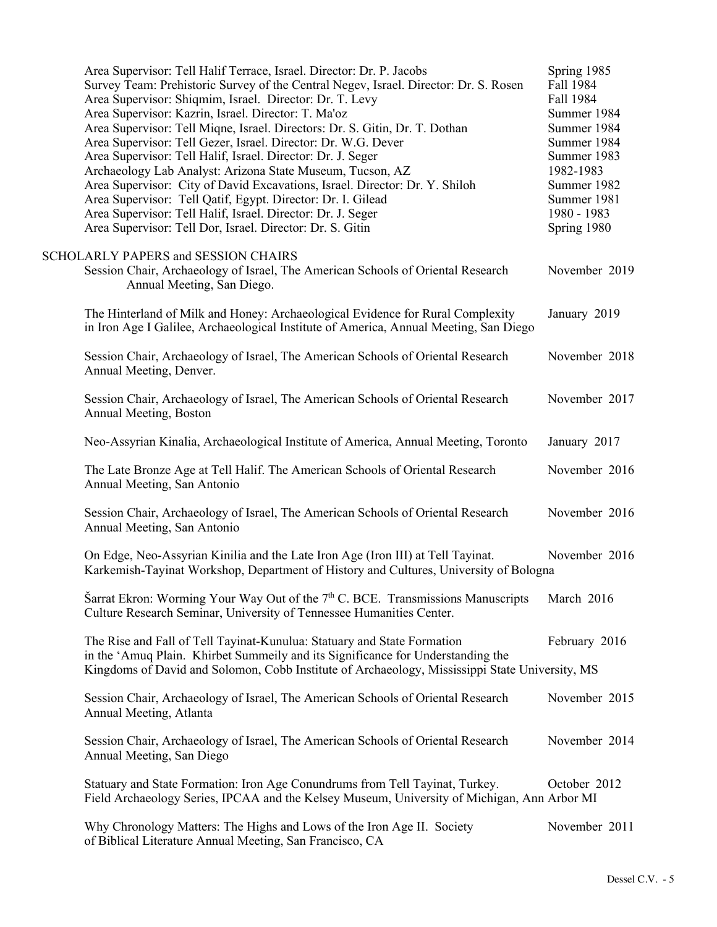| Area Supervisor: Tell Halif Terrace, Israel. Director: Dr. P. Jacobs<br>Survey Team: Prehistoric Survey of the Central Negev, Israel. Director: Dr. S. Rosen<br>Area Supervisor: Shiqmim, Israel. Director: Dr. T. Levy<br>Area Supervisor: Kazrin, Israel. Director: T. Ma'oz<br>Area Supervisor: Tell Miqne, Israel. Directors: Dr. S. Gitin, Dr. T. Dothan<br>Area Supervisor: Tell Gezer, Israel. Director: Dr. W.G. Dever<br>Area Supervisor: Tell Halif, Israel. Director: Dr. J. Seger<br>Archaeology Lab Analyst: Arizona State Museum, Tucson, AZ<br>Area Supervisor: City of David Excavations, Israel. Director: Dr. Y. Shiloh<br>Area Supervisor: Tell Qatif, Egypt. Director: Dr. I. Gilead<br>Area Supervisor: Tell Halif, Israel. Director: Dr. J. Seger<br>Area Supervisor: Tell Dor, Israel. Director: Dr. S. Gitin | Spring 1985<br>Fall 1984<br>Fall 1984<br>Summer 1984<br>Summer 1984<br>Summer 1984<br>Summer 1983<br>1982-1983<br>Summer 1982<br>Summer 1981<br>1980 - 1983<br>Spring 1980 |
|--------------------------------------------------------------------------------------------------------------------------------------------------------------------------------------------------------------------------------------------------------------------------------------------------------------------------------------------------------------------------------------------------------------------------------------------------------------------------------------------------------------------------------------------------------------------------------------------------------------------------------------------------------------------------------------------------------------------------------------------------------------------------------------------------------------------------------------|----------------------------------------------------------------------------------------------------------------------------------------------------------------------------|
| <b>SCHOLARLY PAPERS and SESSION CHAIRS</b><br>Session Chair, Archaeology of Israel, The American Schools of Oriental Research<br>Annual Meeting, San Diego.                                                                                                                                                                                                                                                                                                                                                                                                                                                                                                                                                                                                                                                                          | November 2019                                                                                                                                                              |
| The Hinterland of Milk and Honey: Archaeological Evidence for Rural Complexity<br>in Iron Age I Galilee, Archaeological Institute of America, Annual Meeting, San Diego                                                                                                                                                                                                                                                                                                                                                                                                                                                                                                                                                                                                                                                              | January 2019                                                                                                                                                               |
| Session Chair, Archaeology of Israel, The American Schools of Oriental Research<br>Annual Meeting, Denver.                                                                                                                                                                                                                                                                                                                                                                                                                                                                                                                                                                                                                                                                                                                           | November 2018                                                                                                                                                              |
| Session Chair, Archaeology of Israel, The American Schools of Oriental Research<br>Annual Meeting, Boston                                                                                                                                                                                                                                                                                                                                                                                                                                                                                                                                                                                                                                                                                                                            | November 2017                                                                                                                                                              |
| Neo-Assyrian Kinalia, Archaeological Institute of America, Annual Meeting, Toronto                                                                                                                                                                                                                                                                                                                                                                                                                                                                                                                                                                                                                                                                                                                                                   | January 2017                                                                                                                                                               |
| The Late Bronze Age at Tell Halif. The American Schools of Oriental Research<br>Annual Meeting, San Antonio                                                                                                                                                                                                                                                                                                                                                                                                                                                                                                                                                                                                                                                                                                                          | November 2016                                                                                                                                                              |
| Session Chair, Archaeology of Israel, The American Schools of Oriental Research<br>Annual Meeting, San Antonio                                                                                                                                                                                                                                                                                                                                                                                                                                                                                                                                                                                                                                                                                                                       | November 2016                                                                                                                                                              |
| On Edge, Neo-Assyrian Kinilia and the Late Iron Age (Iron III) at Tell Tayinat.<br>Karkemish-Tayinat Workshop, Department of History and Cultures, University of Bologna                                                                                                                                                                                                                                                                                                                                                                                                                                                                                                                                                                                                                                                             | November 2016                                                                                                                                                              |
| Sarrat Ekron: Worming Your Way Out of the 7 <sup>th</sup> C. BCE. Transmissions Manuscripts<br>Culture Research Seminar, University of Tennessee Humanities Center.                                                                                                                                                                                                                                                                                                                                                                                                                                                                                                                                                                                                                                                                  | March 2016                                                                                                                                                                 |
| The Rise and Fall of Tell Tayinat-Kunulua: Statuary and State Formation<br>in the 'Amuq Plain. Khirbet Summeily and its Significance for Understanding the<br>Kingdoms of David and Solomon, Cobb Institute of Archaeology, Mississippi State University, MS                                                                                                                                                                                                                                                                                                                                                                                                                                                                                                                                                                         | February 2016                                                                                                                                                              |
| Session Chair, Archaeology of Israel, The American Schools of Oriental Research<br>Annual Meeting, Atlanta                                                                                                                                                                                                                                                                                                                                                                                                                                                                                                                                                                                                                                                                                                                           | November 2015                                                                                                                                                              |
| Session Chair, Archaeology of Israel, The American Schools of Oriental Research<br>Annual Meeting, San Diego                                                                                                                                                                                                                                                                                                                                                                                                                                                                                                                                                                                                                                                                                                                         | November 2014                                                                                                                                                              |
| Statuary and State Formation: Iron Age Conundrums from Tell Tayinat, Turkey.<br>Field Archaeology Series, IPCAA and the Kelsey Museum, University of Michigan, Ann Arbor MI                                                                                                                                                                                                                                                                                                                                                                                                                                                                                                                                                                                                                                                          | October 2012                                                                                                                                                               |
| Why Chronology Matters: The Highs and Lows of the Iron Age II. Society<br>of Biblical Literature Annual Meeting, San Francisco, CA                                                                                                                                                                                                                                                                                                                                                                                                                                                                                                                                                                                                                                                                                                   | November 2011                                                                                                                                                              |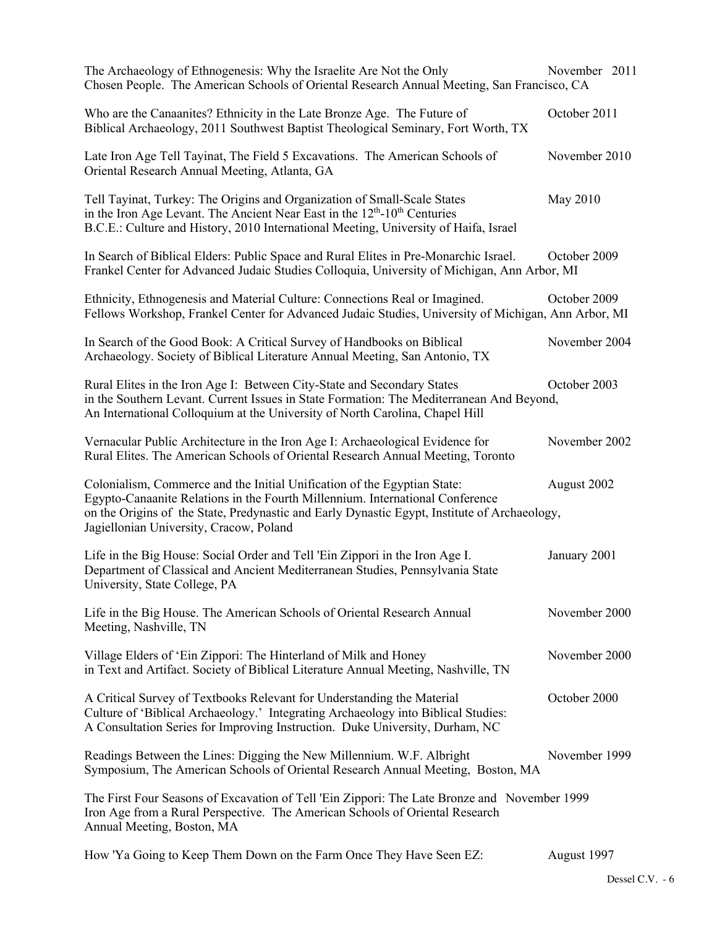| The Archaeology of Ethnogenesis: Why the Israelite Are Not the Only<br>Chosen People. The American Schools of Oriental Research Annual Meeting, San Francisco, CA                                                                                                                                    | November 2011 |
|------------------------------------------------------------------------------------------------------------------------------------------------------------------------------------------------------------------------------------------------------------------------------------------------------|---------------|
| Who are the Canaanites? Ethnicity in the Late Bronze Age. The Future of<br>Biblical Archaeology, 2011 Southwest Baptist Theological Seminary, Fort Worth, TX                                                                                                                                         | October 2011  |
| Late Iron Age Tell Tayinat, The Field 5 Excavations. The American Schools of<br>Oriental Research Annual Meeting, Atlanta, GA                                                                                                                                                                        | November 2010 |
| Tell Tayinat, Turkey: The Origins and Organization of Small-Scale States<br>in the Iron Age Levant. The Ancient Near East in the 12 <sup>th</sup> -10 <sup>th</sup> Centuries<br>B.C.E.: Culture and History, 2010 International Meeting, University of Haifa, Israel                                | May 2010      |
| In Search of Biblical Elders: Public Space and Rural Elites in Pre-Monarchic Israel.<br>Frankel Center for Advanced Judaic Studies Colloquia, University of Michigan, Ann Arbor, MI                                                                                                                  | October 2009  |
| Ethnicity, Ethnogenesis and Material Culture: Connections Real or Imagined.<br>Fellows Workshop, Frankel Center for Advanced Judaic Studies, University of Michigan, Ann Arbor, MI                                                                                                                   | October 2009  |
| In Search of the Good Book: A Critical Survey of Handbooks on Biblical<br>Archaeology. Society of Biblical Literature Annual Meeting, San Antonio, TX                                                                                                                                                | November 2004 |
| Rural Elites in the Iron Age I: Between City-State and Secondary States<br>in the Southern Levant. Current Issues in State Formation: The Mediterranean And Beyond,<br>An International Colloquium at the University of North Carolina, Chapel Hill                                                  | October 2003  |
| Vernacular Public Architecture in the Iron Age I: Archaeological Evidence for<br>Rural Elites. The American Schools of Oriental Research Annual Meeting, Toronto                                                                                                                                     | November 2002 |
| Colonialism, Commerce and the Initial Unification of the Egyptian State:<br>Egypto-Canaanite Relations in the Fourth Millennium. International Conference<br>on the Origins of the State, Predynastic and Early Dynastic Egypt, Institute of Archaeology,<br>Jagiellonian University, Cracow, Poland | August 2002   |
| Life in the Big House: Social Order and Tell 'Ein Zippori in the Iron Age I.<br>Department of Classical and Ancient Mediterranean Studies, Pennsylvania State<br>University, State College, PA                                                                                                       | January 2001  |
| Life in the Big House. The American Schools of Oriental Research Annual<br>Meeting, Nashville, TN                                                                                                                                                                                                    | November 2000 |
| Village Elders of 'Ein Zippori: The Hinterland of Milk and Honey<br>in Text and Artifact. Society of Biblical Literature Annual Meeting, Nashville, TN                                                                                                                                               | November 2000 |
| A Critical Survey of Textbooks Relevant for Understanding the Material<br>Culture of 'Biblical Archaeology.' Integrating Archaeology into Biblical Studies:<br>A Consultation Series for Improving Instruction. Duke University, Durham, NC                                                          | October 2000  |
| Readings Between the Lines: Digging the New Millennium. W.F. Albright<br>Symposium, The American Schools of Oriental Research Annual Meeting, Boston, MA                                                                                                                                             | November 1999 |
| The First Four Seasons of Excavation of Tell 'Ein Zippori: The Late Bronze and November 1999<br>Iron Age from a Rural Perspective. The American Schools of Oriental Research<br>Annual Meeting, Boston, MA                                                                                           |               |
| How 'Ya Going to Keep Them Down on the Farm Once They Have Seen EZ:                                                                                                                                                                                                                                  | August 1997   |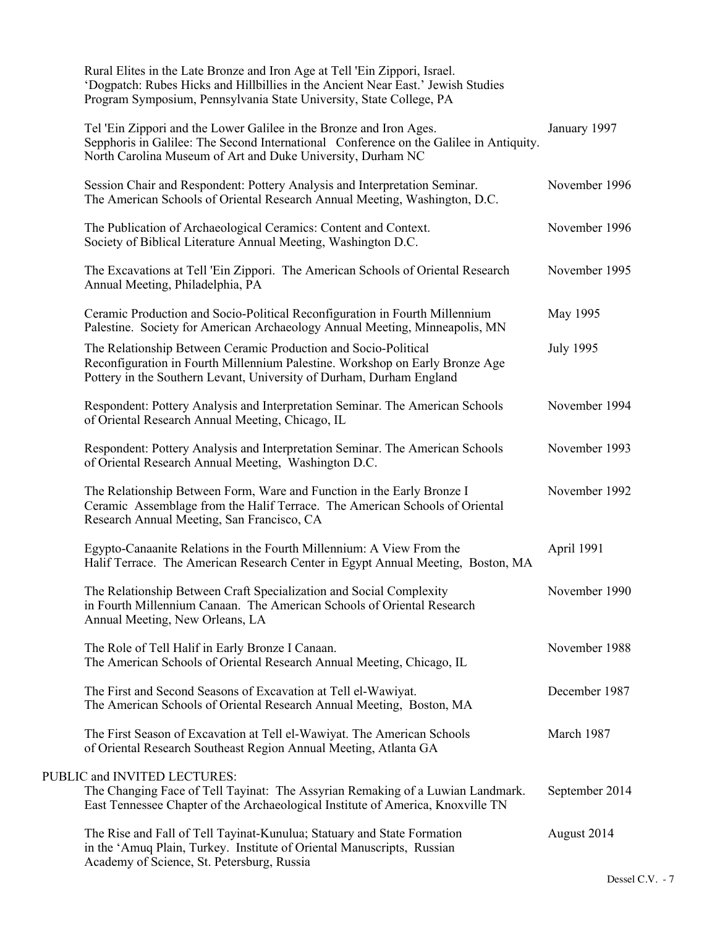| Rural Elites in the Late Bronze and Iron Age at Tell 'Ein Zippori, Israel.<br>'Dogpatch: Rubes Hicks and Hillbillies in the Ancient Near East.' Jewish Studies<br>Program Symposium, Pennsylvania State University, State College, PA |                  |
|---------------------------------------------------------------------------------------------------------------------------------------------------------------------------------------------------------------------------------------|------------------|
| Tel 'Ein Zippori and the Lower Galilee in the Bronze and Iron Ages.<br>Sepphoris in Galilee: The Second International Conference on the Galilee in Antiquity.<br>North Carolina Museum of Art and Duke University, Durham NC          | January 1997     |
| Session Chair and Respondent: Pottery Analysis and Interpretation Seminar.<br>The American Schools of Oriental Research Annual Meeting, Washington, D.C.                                                                              | November 1996    |
| The Publication of Archaeological Ceramics: Content and Context.<br>Society of Biblical Literature Annual Meeting, Washington D.C.                                                                                                    | November 1996    |
| The Excavations at Tell 'Ein Zippori. The American Schools of Oriental Research<br>Annual Meeting, Philadelphia, PA                                                                                                                   | November 1995    |
| Ceramic Production and Socio-Political Reconfiguration in Fourth Millennium<br>Palestine. Society for American Archaeology Annual Meeting, Minneapolis, MN                                                                            | May 1995         |
| The Relationship Between Ceramic Production and Socio-Political<br>Reconfiguration in Fourth Millennium Palestine. Workshop on Early Bronze Age<br>Pottery in the Southern Levant, University of Durham, Durham England               | <b>July 1995</b> |
| Respondent: Pottery Analysis and Interpretation Seminar. The American Schools<br>of Oriental Research Annual Meeting, Chicago, IL                                                                                                     | November 1994    |
| Respondent: Pottery Analysis and Interpretation Seminar. The American Schools<br>of Oriental Research Annual Meeting, Washington D.C.                                                                                                 | November 1993    |
| The Relationship Between Form, Ware and Function in the Early Bronze I<br>Ceramic Assemblage from the Halif Terrace. The American Schools of Oriental<br>Research Annual Meeting, San Francisco, CA                                   | November 1992    |
| Egypto-Canaanite Relations in the Fourth Millennium: A View From the<br>Halif Terrace. The American Research Center in Egypt Annual Meeting, Boston, MA                                                                               | April 1991       |
| The Relationship Between Craft Specialization and Social Complexity<br>in Fourth Millennium Canaan. The American Schools of Oriental Research<br>Annual Meeting, New Orleans, LA                                                      | November 1990    |
| The Role of Tell Halif in Early Bronze I Canaan.<br>The American Schools of Oriental Research Annual Meeting, Chicago, IL                                                                                                             | November 1988    |
| The First and Second Seasons of Excavation at Tell el-Wawiyat.<br>The American Schools of Oriental Research Annual Meeting, Boston, MA                                                                                                | December 1987    |
| The First Season of Excavation at Tell el-Wawiyat. The American Schools<br>of Oriental Research Southeast Region Annual Meeting, Atlanta GA                                                                                           | March 1987       |
| PUBLIC and INVITED LECTURES:<br>The Changing Face of Tell Tayinat: The Assyrian Remaking of a Luwian Landmark.<br>East Tennessee Chapter of the Archaeological Institute of America, Knoxville TN                                     | September 2014   |
| The Rise and Fall of Tell Tayinat-Kunulua; Statuary and State Formation<br>in the 'Amuq Plain, Turkey. Institute of Oriental Manuscripts, Russian<br>Academy of Science, St. Petersburg, Russia                                       | August 2014      |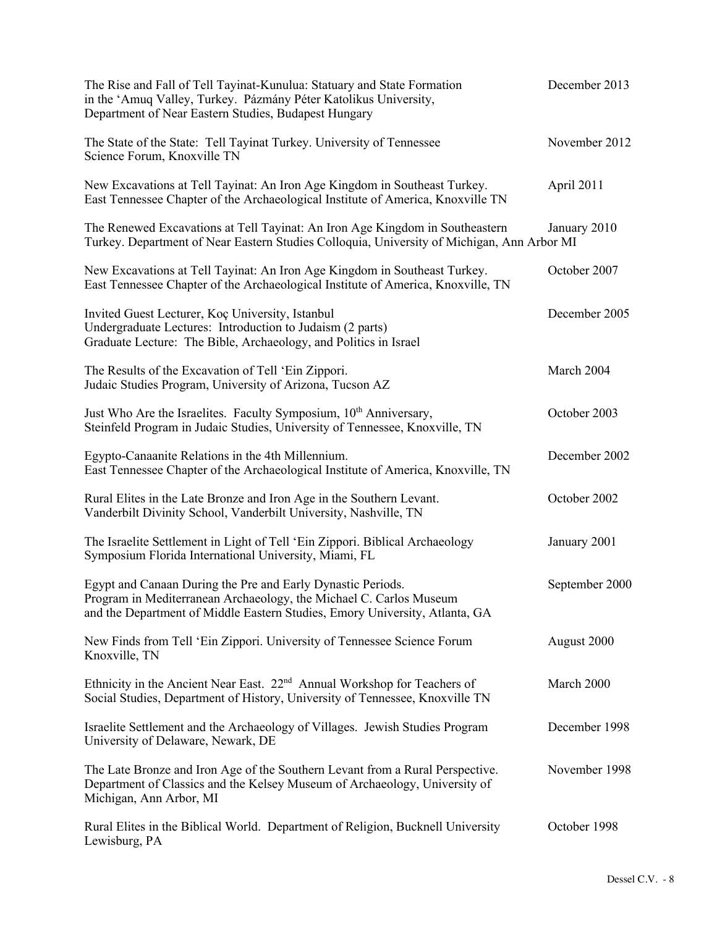| The Rise and Fall of Tell Tayinat-Kunulua: Statuary and State Formation<br>in the 'Amuq Valley, Turkey. Pázmány Péter Katolikus University,<br>Department of Near Eastern Studies, Budapest Hungary              | December 2013  |
|------------------------------------------------------------------------------------------------------------------------------------------------------------------------------------------------------------------|----------------|
| The State of the State: Tell Tayinat Turkey. University of Tennessee<br>Science Forum, Knoxville TN                                                                                                              | November 2012  |
| New Excavations at Tell Tayinat: An Iron Age Kingdom in Southeast Turkey.<br>East Tennessee Chapter of the Archaeological Institute of America, Knoxville TN                                                     | April 2011     |
| The Renewed Excavations at Tell Tayinat: An Iron Age Kingdom in Southeastern<br>Turkey. Department of Near Eastern Studies Colloquia, University of Michigan, Ann Arbor MI                                       | January 2010   |
| New Excavations at Tell Tayinat: An Iron Age Kingdom in Southeast Turkey.<br>East Tennessee Chapter of the Archaeological Institute of America, Knoxville, TN                                                    | October 2007   |
| Invited Guest Lecturer, Koç University, Istanbul<br>Undergraduate Lectures: Introduction to Judaism (2 parts)<br>Graduate Lecture: The Bible, Archaeology, and Politics in Israel                                | December 2005  |
| The Results of the Excavation of Tell 'Ein Zippori.<br>Judaic Studies Program, University of Arizona, Tucson AZ                                                                                                  | March 2004     |
| Just Who Are the Israelites. Faculty Symposium, 10th Anniversary,<br>Steinfeld Program in Judaic Studies, University of Tennessee, Knoxville, TN                                                                 | October 2003   |
| Egypto-Canaanite Relations in the 4th Millennium.<br>East Tennessee Chapter of the Archaeological Institute of America, Knoxville, TN                                                                            | December 2002  |
| Rural Elites in the Late Bronze and Iron Age in the Southern Levant.<br>Vanderbilt Divinity School, Vanderbilt University, Nashville, TN                                                                         | October 2002   |
| The Israelite Settlement in Light of Tell 'Ein Zippori. Biblical Archaeology<br>Symposium Florida International University, Miami, FL                                                                            | January 2001   |
| Egypt and Canaan During the Pre and Early Dynastic Periods.<br>Program in Mediterranean Archaeology, the Michael C. Carlos Museum<br>and the Department of Middle Eastern Studies, Emory University, Atlanta, GA | September 2000 |
| New Finds from Tell 'Ein Zippori. University of Tennessee Science Forum<br>Knoxville, TN                                                                                                                         | August 2000    |
| Ethnicity in the Ancient Near East. $22nd$ Annual Workshop for Teachers of<br>Social Studies, Department of History, University of Tennessee, Knoxville TN                                                       | March 2000     |
| Israelite Settlement and the Archaeology of Villages. Jewish Studies Program<br>University of Delaware, Newark, DE                                                                                               | December 1998  |
| The Late Bronze and Iron Age of the Southern Levant from a Rural Perspective.<br>Department of Classics and the Kelsey Museum of Archaeology, University of<br>Michigan, Ann Arbor, MI                           | November 1998  |
| Rural Elites in the Biblical World. Department of Religion, Bucknell University<br>Lewisburg, PA                                                                                                                 | October 1998   |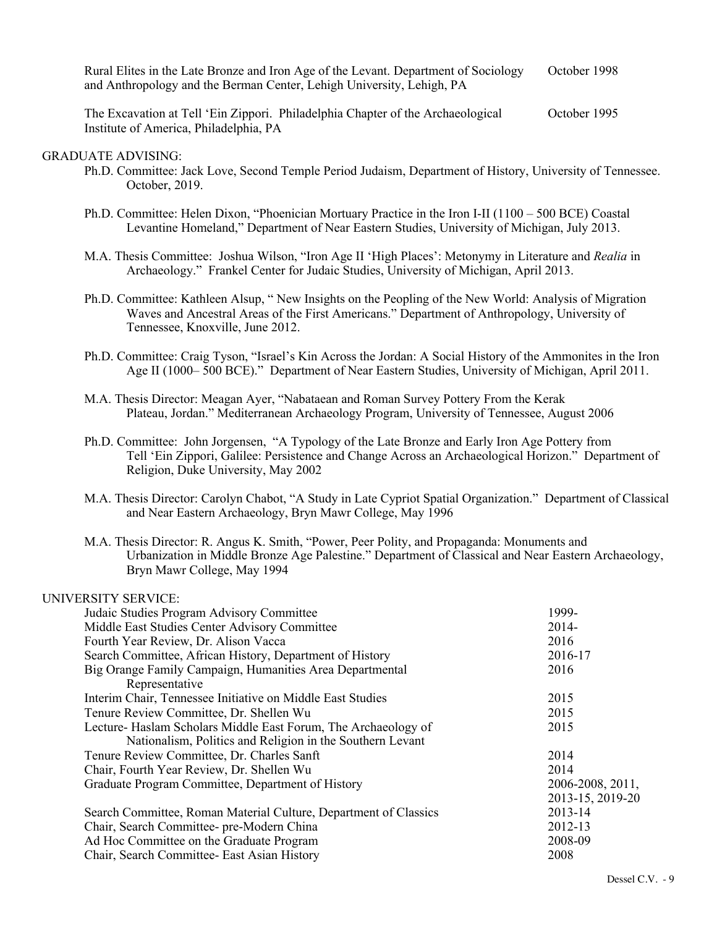Rural Elites in the Late Bronze and Iron Age of the Levant. Department of Sociology October 1998 and Anthropology and the Berman Center, Lehigh University, Lehigh, PA

The Excavation at Tell 'Ein Zippori. Philadelphia Chapter of the Archaeological October 1995 Institute of America, Philadelphia, PA

### GRADUATE ADVISING:

- Ph.D. Committee: Jack Love, Second Temple Period Judaism, Department of History, University of Tennessee. October, 2019.
- Ph.D. Committee: Helen Dixon, "Phoenician Mortuary Practice in the Iron I-II (1100 500 BCE) Coastal Levantine Homeland," Department of Near Eastern Studies, University of Michigan, July 2013.
- M.A. Thesis Committee: Joshua Wilson, "Iron Age II 'High Places': Metonymy in Literature and *Realia* in Archaeology." Frankel Center for Judaic Studies, University of Michigan, April 2013.
- Ph.D. Committee: Kathleen Alsup, " New Insights on the Peopling of the New World: Analysis of Migration Waves and Ancestral Areas of the First Americans." Department of Anthropology, University of Tennessee, Knoxville, June 2012.
- Ph.D. Committee: Craig Tyson, "Israel's Kin Across the Jordan: A Social History of the Ammonites in the Iron Age II (1000– 500 BCE)." Department of Near Eastern Studies, University of Michigan, April 2011.
- M.A. Thesis Director: Meagan Ayer, "Nabataean and Roman Survey Pottery From the Kerak Plateau, Jordan." Mediterranean Archaeology Program, University of Tennessee, August 2006
- Ph.D. Committee: John Jorgensen, "A Typology of the Late Bronze and Early Iron Age Pottery from Tell 'Ein Zippori, Galilee: Persistence and Change Across an Archaeological Horizon." Department of Religion, Duke University, May 2002
- M.A. Thesis Director: Carolyn Chabot, "A Study in Late Cypriot Spatial Organization." Department of Classical and Near Eastern Archaeology, Bryn Mawr College, May 1996
- M.A. Thesis Director: R. Angus K. Smith, "Power, Peer Polity, and Propaganda: Monuments and Urbanization in Middle Bronze Age Palestine." Department of Classical and Near Eastern Archaeology, Bryn Mawr College, May 1994

| UNIVERSITY SERVICE:                                              |                  |
|------------------------------------------------------------------|------------------|
| Judaic Studies Program Advisory Committee                        | 1999-            |
| Middle East Studies Center Advisory Committee                    | 2014-            |
| Fourth Year Review, Dr. Alison Vacca                             | 2016             |
| Search Committee, African History, Department of History         | 2016-17          |
| Big Orange Family Campaign, Humanities Area Departmental         | 2016             |
| Representative                                                   |                  |
| Interim Chair, Tennessee Initiative on Middle East Studies       | 2015             |
| Tenure Review Committee, Dr. Shellen Wu                          | 2015             |
| Lecture- Haslam Scholars Middle East Forum, The Archaeology of   | 2015             |
| Nationalism, Politics and Religion in the Southern Levant        |                  |
| Tenure Review Committee, Dr. Charles Sanft                       | 2014             |
| Chair, Fourth Year Review, Dr. Shellen Wu                        | 2014             |
| Graduate Program Committee, Department of History                | 2006-2008, 2011, |
|                                                                  | 2013-15, 2019-20 |
| Search Committee, Roman Material Culture, Department of Classics | 2013-14          |
| Chair, Search Committee- pre-Modern China                        | 2012-13          |
| Ad Hoc Committee on the Graduate Program                         | 2008-09          |
| Chair, Search Committee- East Asian History                      | 2008             |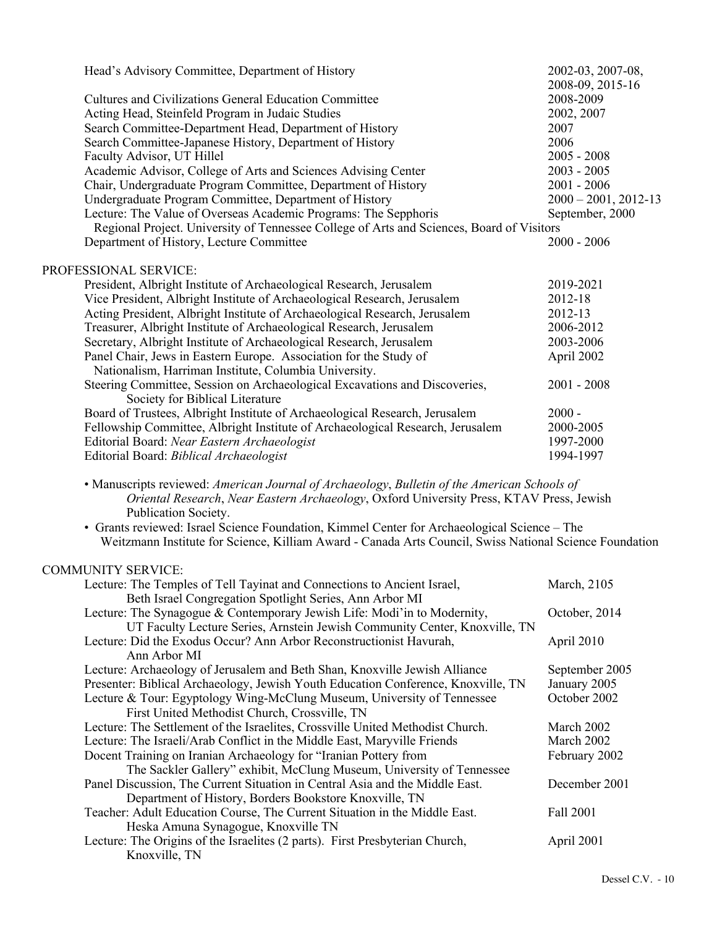| Head's Advisory Committee, Department of History                                          | 2002-03, 2007-08,       |
|-------------------------------------------------------------------------------------------|-------------------------|
|                                                                                           | 2008-09, 2015-16        |
| <b>Cultures and Civilizations General Education Committee</b>                             | 2008-2009               |
| Acting Head, Steinfeld Program in Judaic Studies                                          | 2002, 2007              |
| Search Committee-Department Head, Department of History                                   | 2007                    |
| Search Committee-Japanese History, Department of History                                  | 2006                    |
| Faculty Advisor, UT Hillel                                                                | $2005 - 2008$           |
| Academic Advisor, College of Arts and Sciences Advising Center                            | $2003 - 2005$           |
| Chair, Undergraduate Program Committee, Department of History                             | $2001 - 2006$           |
| Undergraduate Program Committee, Department of History                                    | $2000 - 2001$ , 2012-13 |
| Lecture: The Value of Overseas Academic Programs: The Sepphoris                           | September, 2000         |
| Regional Project. University of Tennessee College of Arts and Sciences, Board of Visitors |                         |
| Department of History, Lecture Committee                                                  | $2000 - 2006$           |
| PROFESSIONAL SERVICE:                                                                     |                         |
| President, Albright Institute of Archaeological Research, Jerusalem                       | 2019-2021               |
| Vice President, Albright Institute of Archaeological Research, Jerusalem                  | 2012-18                 |
| Acting President, Albright Institute of Archaeological Research, Jerusalem                | 2012-13                 |
| Treasurer, Albright Institute of Archaeological Research, Jerusalem                       | 2006-2012               |
| Secretary, Albright Institute of Archaeological Research, Jerusalem                       | 2003-2006               |
| Panel Chair, Jews in Eastern Europe. Association for the Study of                         | April 2002              |
| Nationalism, Harriman Institute, Columbia University.                                     |                         |
| Steering Committee, Session on Archaeological Excavations and Discoveries,                | $2001 - 2008$           |
| Society for Biblical Literature                                                           |                         |
| Board of Trustees, Albright Institute of Archaeological Research, Jerusalem               | $2000 -$                |
| Fellowship Committee, Albright Institute of Archaeological Research, Jerusalem            | 2000-2005               |
| Editorial Board: Near Eastern Archaeologist                                               | 1997-2000               |
| Editorial Board: Biblical Archaeologist                                                   | 1994-1997               |

*Oriental Research*, *Near Eastern Archaeology*, Oxford University Press, KTAV Press, Jewish Publication Society.

• Grants reviewed: Israel Science Foundation, Kimmel Center for Archaeological Science – The Weitzmann Institute for Science, Killiam Award - Canada Arts Council, Swiss National Science Foundation

# COMMUNITY SERVICE:

| Lecture: The Temples of Tell Tayinat and Connections to Ancient Israel,           | March, 2105    |
|-----------------------------------------------------------------------------------|----------------|
| Beth Israel Congregation Spotlight Series, Ann Arbor MI                           |                |
| Lecture: The Synagogue & Contemporary Jewish Life: Modi'in to Modernity,          | October, 2014  |
| UT Faculty Lecture Series, Arnstein Jewish Community Center, Knoxville, TN        |                |
| Lecture: Did the Exodus Occur? Ann Arbor Reconstructionist Havurah,               | April 2010     |
| Ann Arbor MI                                                                      |                |
| Lecture: Archaeology of Jerusalem and Beth Shan, Knoxville Jewish Alliance        | September 2005 |
| Presenter: Biblical Archaeology, Jewish Youth Education Conference, Knoxville, TN | January 2005   |
| Lecture & Tour: Egyptology Wing-McClung Museum, University of Tennessee           | October 2002   |
| First United Methodist Church, Crossville, TN                                     |                |
| Lecture: The Settlement of the Israelites, Crossville United Methodist Church.    | March 2002     |
| Lecture: The Israeli/Arab Conflict in the Middle East, Maryville Friends          | March 2002     |
| Docent Training on Iranian Archaeology for "Iranian Pottery from                  | February 2002  |
| The Sackler Gallery" exhibit, McClung Museum, University of Tennessee             |                |
| Panel Discussion, The Current Situation in Central Asia and the Middle East.      | December 2001  |
| Department of History, Borders Bookstore Knoxville, TN                            |                |
| Teacher: Adult Education Course, The Current Situation in the Middle East.        | Fall 2001      |
| Heska Amuna Synagogue, Knoxville TN                                               |                |
| Lecture: The Origins of the Israelites (2 parts). First Presbyterian Church,      | April 2001     |
| Knoxville, TN                                                                     |                |